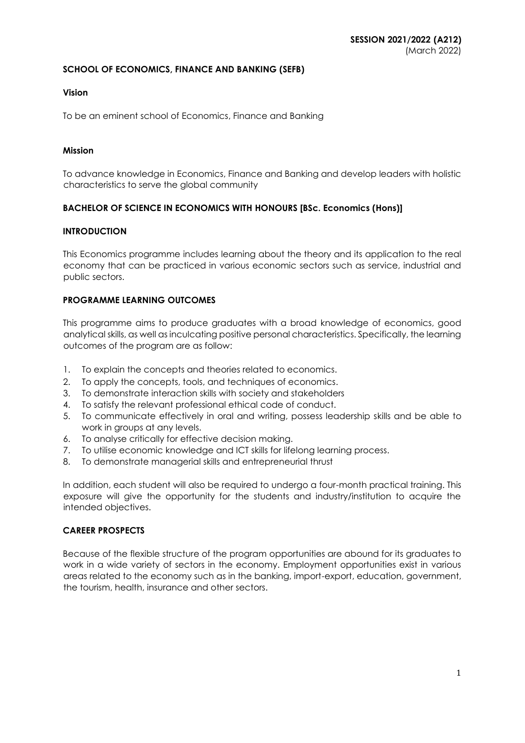#### **SCHOOL OF ECONOMICS, FINANCE AND BANKING (SEFB)**

#### **Vision**

To be an eminent school of Economics, Finance and Banking

#### **Mission**

To advance knowledge in Economics, Finance and Banking and develop leaders with holistic characteristics to serve the global community

#### **BACHELOR OF SCIENCE IN ECONOMICS WITH HONOURS [BSc. Economics (Hons)]**

#### **INTRODUCTION**

This Economics programme includes learning about the theory and its application to the real economy that can be practiced in various economic sectors such as service, industrial and public sectors.

#### **PROGRAMME LEARNING OUTCOMES**

This programme aims to produce graduates with a broad knowledge of economics, good analytical skills, as well as inculcating positive personal characteristics. Specifically, the learning outcomes of the program are as follow:

- 1. To explain the concepts and theories related to economics.
- 2. To apply the concepts, tools, and techniques of economics.
- 3. To demonstrate interaction skills with society and stakeholders
- 4. To satisfy the relevant professional ethical code of conduct.
- 5. To communicate effectively in oral and writing, possess leadership skills and be able to work in groups at any levels.
- 6. To analyse critically for effective decision making.
- 7. To utilise economic knowledge and ICT skills for lifelong learning process.
- 8. To demonstrate managerial skills and entrepreneurial thrust

In addition, each student will also be required to undergo a four-month practical training. This exposure will give the opportunity for the students and industry/institution to acquire the intended objectives.

#### **CAREER PROSPECTS**

Because of the flexible structure of the program opportunities are abound for its graduates to work in a wide variety of sectors in the economy. Employment opportunities exist in various areas related to the economy such as in the banking, import-export, education, government, the tourism, health, insurance and other sectors.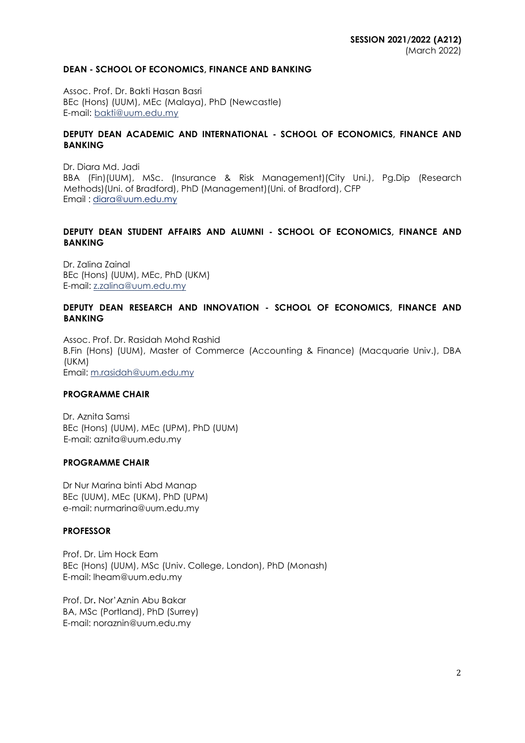#### **DEAN - SCHOOL OF ECONOMICS, FINANCE AND BANKING**

Assoc. Prof. Dr. Bakti Hasan Basri BEc (Hons) (UUM), MEc (Malaya), PhD (Newcastle) E-mail: [bakti@uum.edu.my](mailto:bakti@uum.edu.my)

#### **DEPUTY DEAN ACADEMIC AND INTERNATIONAL - SCHOOL OF ECONOMICS, FINANCE AND BANKING**

Dr. Diara Md. Jadi BBA (Fin)(UUM), MSc. (Insurance & Risk Management)(City Uni.), Pg.Dip (Research Methods)(Uni. of Bradford), PhD (Management)(Uni. of Bradford), CFP Email : [diara@uum.edu.my](mailto:diara@uum.edu.my)

### **DEPUTY DEAN STUDENT AFFAIRS AND ALUMNI - SCHOOL OF ECONOMICS, FINANCE AND BANKING**

Dr. Zalina Zainal BEc (Hons) (UUM), MEc, PhD (UKM) E-mail: [z.zalina@uum.edu.my](mailto:z.zalina@uum.edu.my)

#### **DEPUTY DEAN RESEARCH AND INNOVATION - SCHOOL OF ECONOMICS, FINANCE AND BANKING**

Assoc. Prof. Dr. Rasidah Mohd Rashid B.Fin (Hons) (UUM), Master of Commerce (Accounting & Finance) (Macquarie Univ.), DBA (UKM) Email: [m.rasidah@uum.edu.my](mailto:m.rasidah@uum.edu.my)

#### **PROGRAMME CHAIR**

Dr. Aznita Samsi BEc (Hons) (UUM), MEc (UPM), PhD (UUM) E-mail: aznita@uum.edu.my

#### **PROGRAMME CHAIR**

Dr Nur Marina binti Abd Manap BEc (UUM), MEc (UKM), PhD (UPM) e-mail: nurmarina@uum.edu.my

#### **PROFESSOR**

Prof. Dr. Lim Hock Eam BEc (Hons) (UUM), MSc (Univ. College, London), PhD (Monash) E-mail: lheam@uum.edu.my

Prof. Dr**.** Nor'Aznin Abu Bakar BA, MSc (Portland), PhD (Surrey) E-mail: noraznin@uum.edu.my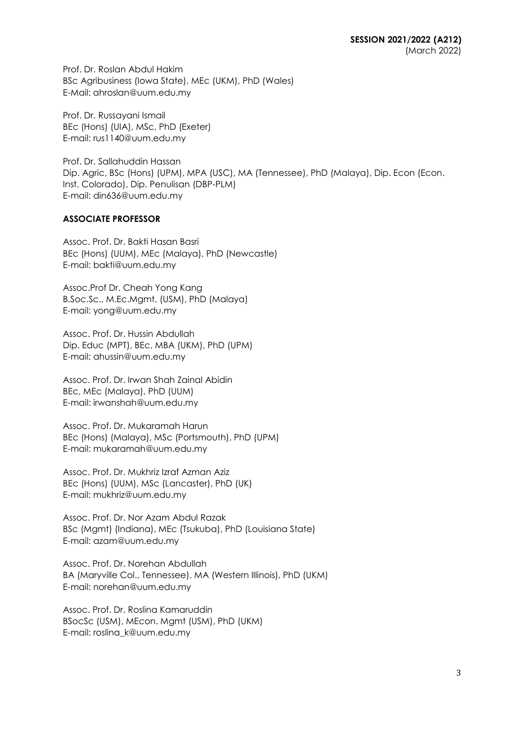Prof. Dr. Roslan Abdul Hakim BSc Agribusiness (Iowa State), MEc (UKM), PhD (Wales) E-Mail: ahroslan@uum.edu.my

Prof. Dr. Russayani Ismail BEc (Hons) (UIA), MSc, PhD (Exeter) E-mail: rus1140@uum.edu.my

Prof. Dr. Sallahuddin Hassan Dip. Agric, BSc (Hons) (UPM), MPA (USC), MA (Tennessee), PhD (Malaya), Dip. Econ (Econ. Inst. Colorado), Dip. Penulisan (DBP-PLM) E-mail: din636@uum.edu.my

## **ASSOCIATE PROFESSOR**

Assoc. Prof. Dr. Bakti Hasan Basri BEc (Hons) (UUM), MEc (Malaya), PhD (Newcastle) E-mail: bakti@uum.edu.my

Assoc.Prof Dr. Cheah Yong Kang B.Soc.Sc., M.Ec.Mgmt. (USM), PhD (Malaya) E-mail: yong@uum.edu.my

Assoc. Prof. Dr. Hussin Abdullah Dip. Educ (MPT), BEc, MBA (UKM), PhD (UPM) E-mail: ahussin@uum.edu.my

Assoc. Prof. Dr. Irwan Shah Zainal Abidin BEc, MEc (Malaya), PhD (UUM) E-mail: irwanshah@uum.edu.my

Assoc. Prof. Dr. Mukaramah Harun BEc (Hons) (Malaya), MSc (Portsmouth), PhD (UPM) E-mail: mukaramah@uum.edu.my

Assoc. Prof. Dr. Mukhriz Izraf Azman Aziz BEc (Hons) (UUM), MSc (Lancaster), PhD (UK) E-mail: mukhriz@uum.edu.my

Assoc. Prof. Dr. Nor Azam Abdul Razak BSc (Mgmt) (Indiana), MEc (Tsukuba), PhD (Louisiana State) E-mail: azam@uum.edu.my

Assoc. Prof. Dr. Norehan Abdullah BA (Maryville Col., Tennessee), MA (Western Illinois), PhD (UKM) E-mail: norehan@uum.edu.my

Assoc. Prof. Dr. Roslina Kamaruddin BSocSc (USM), MEcon. Mgmt (USM), PhD (UKM) E-mail: roslina\_k@uum.edu.my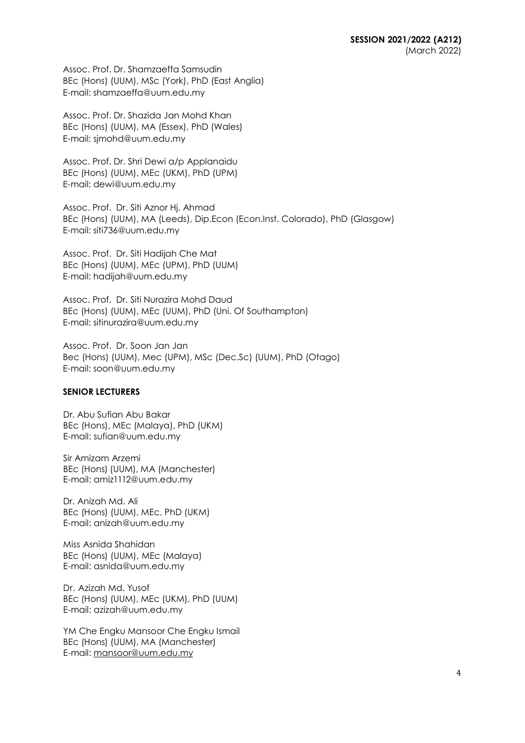Assoc. Prof. Dr. Shamzaeffa Samsudin BEc (Hons) (UUM), MSc (York), PhD (East Anglia) E-mail: shamzaeffa@uum.edu.my

Assoc. Prof. Dr. Shazida Jan Mohd Khan BEc (Hons) (UUM), MA (Essex), PhD (Wales) E-mail: sjmohd@uum.edu.my

Assoc. Prof. Dr. Shri Dewi a/p Applanaidu BEc (Hons) (UUM), MEc (UKM), PhD (UPM) E-mail: dewi@uum.edu.my

Assoc. Prof. Dr. Siti Aznor Hj. Ahmad BEc (Hons) (UUM), MA (Leeds), Dip.Econ (Econ.Inst. Colorado), PhD (Glasgow) E-mail: siti736@uum.edu.my

Assoc. Prof. Dr. Siti Hadijah Che Mat BEc (Hons) (UUM), MEc (UPM), PhD (UUM) E-mail: hadijah@uum.edu.my

Assoc. Prof. Dr. Siti Nurazira Mohd Daud BEc (Hons) (UUM), MEc (UUM), PhD (Uni. Of Southampton) E-mail: sitinurazira@uum.edu.my

Assoc. Prof. Dr. Soon Jan Jan Bec (Hons) (UUM), Mec (UPM), MSc (Dec.Sc) (UUM), PhD (Otago) E-mail: soon@uum.edu.my

#### **SENIOR LECTURERS**

Dr. Abu Sufian Abu Bakar BEc (Hons), MEc (Malaya), PhD (UKM) E-mail: [sufian@uum.edu.my](mailto:sufian@uum.edu.my)

Sir Amizam Arzemi BEc (Hons) (UUM), MA (Manchester) E-mail: [amiz1112@uum.edu.my](mailto:amiz1112@uum.edu.my)

Dr. Anizah Md. Ali BEc (Hons) (UUM), MEc, PhD (UKM) E-mail: [anizah@uum.edu.my](mailto:anizah@uum.edu.my)

Miss Asnida Shahidan BEc (Hons) (UUM), MEc (Malaya) E-mail: [asnida@uum.edu.my](mailto:asnida@uum.edu.my)

Dr. Azizah Md. Yusof BEc (Hons) (UUM), MEc (UKM), PhD (UUM) E-mail: [azizah@uum.edu.my](mailto:azizah@uum.edu.my)

YM Che Engku Mansoor Che Engku Ismail BEc (Hons) (UUM), MA (Manchester) E-mail: [mansoor@uum.edu.my](mailto:mansoor@uum.edu.my)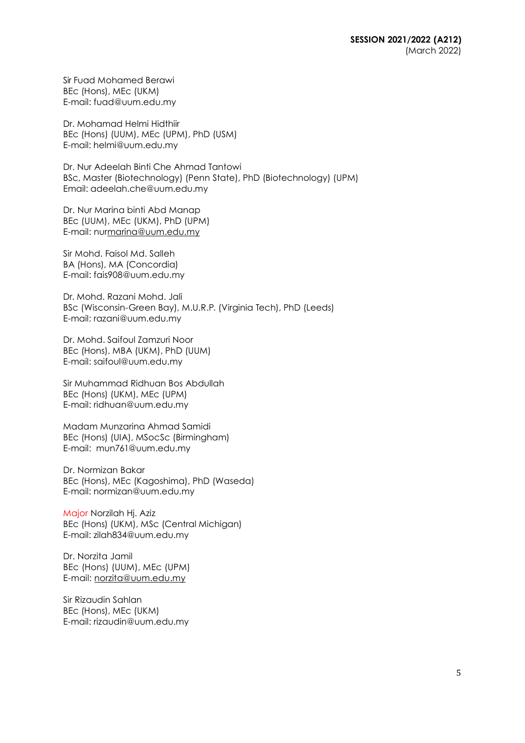Sir Fuad Mohamed Berawi BEc (Hons), MEc (UKM) E-mail: [fuad@uum.edu.my](mailto:fuad@uum.edu.my)

Dr. Mohamad Helmi Hidthiir BEc (Hons) (UUM), MEc (UPM), PhD (USM) E-mail: helmi@uum.edu.my

Dr. Nur Adeelah Binti Che Ahmad Tantowi BSc, Master (Biotechnology) (Penn State), PhD (Biotechnology) (UPM) Email: adeelah.che@uum.edu.my

Dr. Nur Marina binti Abd Manap BEc (UUM), MEc (UKM), PhD (UPM) E-mail: nu[rmarina@uum.edu.my](mailto:marina@uum.edu.my)

Sir Mohd. Faisol Md. Salleh BA (Hons), MA (Concordia) E-mail: [fais908@uum.edu.my](mailto:fais908@uum.edu.my)

Dr. Mohd. Razani Mohd. Jali BSc (Wisconsin-Green Bay), M.U.R.P. (Virginia Tech), PhD (Leeds) E-mail: [razani@uum.edu.my](mailto:razani@uum.edu.my)

Dr. Mohd. Saifoul Zamzuri Noor BEc (Hons), MBA (UKM), PhD (UUM) E-mail: [saifoul@uum.edu.my](mailto:saifoul@uum.edu.my)

Sir Muhammad Ridhuan Bos Abdullah BEc (Hons) (UKM), MEc (UPM) E-mail: [ridhuan@uum.edu.my](mailto:ridhuan@uum.edu.my)

Madam Munzarina Ahmad Samidi BEc (Hons) (UIA), MSocSc (Birmingham) E-mail: [mun761@uum.edu.my](mailto:mun761@uum.edu.my)

Dr. Normizan Bakar BEc (Hons), MEc (Kagoshima), PhD (Waseda) E-mail: [normizan@uum.edu.my](mailto:normizan@uum.edu.my)

Major Norzilah Hj. Aziz BEc (Hons) (UKM), MSc (Central Michigan) E-mail: [zilah834@uum.edu.my](mailto:zilah834@uum.edu.my)

Dr. Norzita Jamil BEc (Hons) (UUM), MEc (UPM) E-mail: [norzita@uum.edu.my](mailto:norzita@uum.edu.my)

Sir Rizaudin Sahlan BEc (Hons), MEc (UKM) E-mail: [rizaudin@uum.edu.my](mailto:rizaudin@uum.edu.my)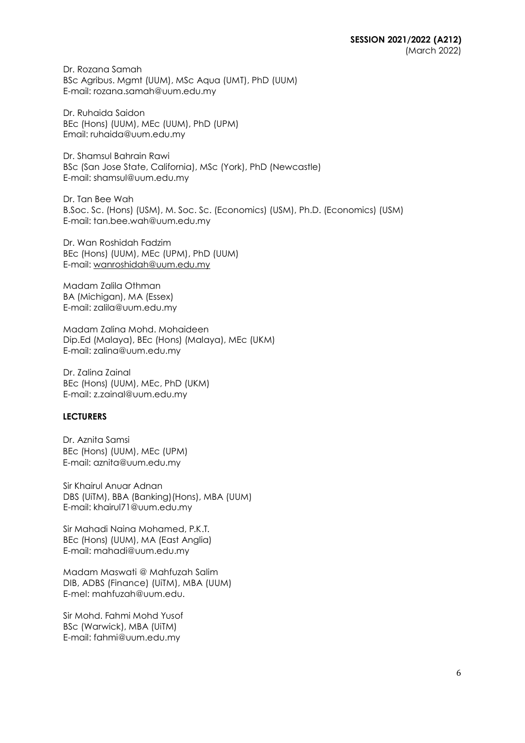Dr. Rozana Samah BSc Agribus. Mgmt (UUM), MSc Aqua (UMT), PhD (UUM) E-mail: rozana.samah@uum.edu.my

Dr. Ruhaida Saidon BEc (Hons) (UUM), MEc (UUM), PhD (UPM) Email: ruhaida@uum.edu.my

Dr. Shamsul Bahrain Rawi BSc (San Jose State, California), MSc (York), PhD (Newcastle) E-mail: [shamsul@uum.edu.my](mailto:shamsul@uum.edu.my)

Dr. Tan Bee Wah B.Soc. Sc. (Hons) (USM), M. Soc. Sc. (Economics) (USM), Ph.D. (Economics) (USM) E-mail: tan.bee.wah@uum.edu.my

Dr. Wan Roshidah Fadzim BEc (Hons) (UUM), MEc (UPM), PhD (UUM) E-mail: [wanroshidah@uum.edu.my](mailto:wanroshidah@uum.edu.my)

Madam Zalila Othman BA (Michigan), MA (Essex) E-mail: [zalila@uum.edu.my](mailto:zalila@uum.edu.my)

Madam Zalina Mohd. Mohaideen Dip.Ed (Malaya), BEc (Hons) (Malaya), MEc (UKM) E-mail: [zalina@uum.edu.my](mailto:zalina@uum.edu.my)

Dr. Zalina Zainal BEc (Hons) (UUM), MEc, PhD (UKM) E-mail: [z.zainal@uum.edu.my](mailto:z.zainal@uum.edu.my)

#### **LECTURERS**

Dr. Aznita Samsi BEc (Hons) (UUM), MEc (UPM) E-mail: aznita@uum.edu.my

Sir Khairul Anuar Adnan DBS (UiTM), BBA (Banking)(Hons), MBA (UUM) E-mail: khairul71@uum.edu.my

Sir Mahadi Naina Mohamed, P.K.T. BEc (Hons) (UUM), MA (East Anglia) E-mail: [mahadi@uum.edu.my](mailto:mahadi@uum.edu.my)

Madam Maswati @ Mahfuzah Salim DIB, ADBS (Finance) (UiTM), MBA (UUM) E-mel: mahfuzah@uum.edu.

Sir Mohd. Fahmi Mohd Yusof BSc (Warwick), MBA (UiTM) E-mail: [fahmi@uum.edu.my](mailto:fahmi@uum.edu.my)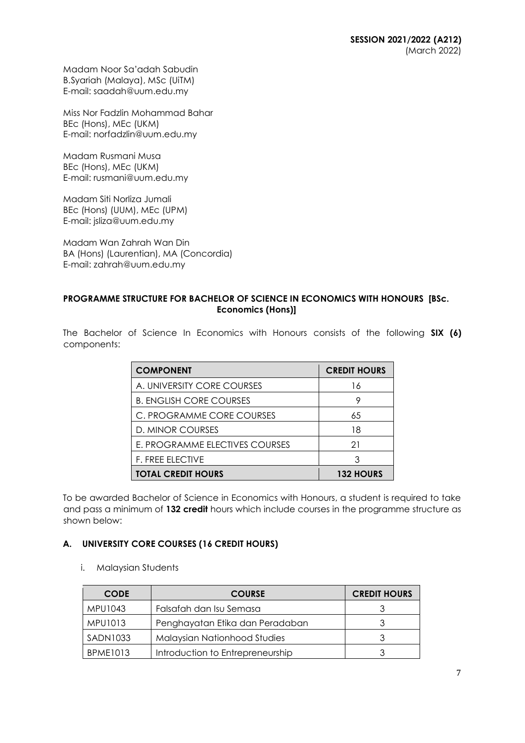Madam Noor Sa'adah Sabudin B.Syariah (Malaya), MSc (UiTM) E-mail: [saadah@uum.edu.my](mailto:saadah@uum.edu.my)

Miss Nor Fadzlin Mohammad Bahar BEc (Hons), MEc (UKM) E-mail: [norfadzlin@uum.edu.my](mailto:norfadzlin@uum.edu.my)

Madam Rusmani Musa BEc (Hons), MEc (UKM) E-mail: [rusmani@uum.edu.my](mailto:rusmani@uum.edu.my)

Madam Siti Norliza Jumali BEc (Hons) (UUM), MEc (UPM) E-mail: [jsliza@uum.edu.my](mailto:jsliza@uum.edu.my)

Madam Wan Zahrah Wan Din BA (Hons) (Laurentian), MA (Concordia) E-mail: [zahrah@uum.edu.my](mailto:zahrah@uum.edu.my)

# **PROGRAMME STRUCTURE FOR BACHELOR OF SCIENCE IN ECONOMICS WITH HONOURS [BSc. Economics (Hons)]**

The Bachelor of Science In Economics with Honours consists of the following **SIX (6)** components:

| <b>COMPONENT</b>               | <b>CREDIT HOURS</b> |
|--------------------------------|---------------------|
| A. UNIVERSITY CORE COURSES     | 16                  |
| <b>B. ENGLISH CORE COURSES</b> | 9                   |
| C. PROGRAMME CORE COURSES      | 65                  |
| D. MINOR COURSES               | 18                  |
| E. PROGRAMME ELECTIVES COURSES | 21                  |
| <b>F. FREE ELECTIVE</b>        | 3                   |
| <b>TOTAL CREDIT HOURS</b>      | <b>132 HOURS</b>    |

To be awarded Bachelor of Science in Economics with Honours, a student is required to take and pass a minimum of **132 credit** hours which include courses in the programme structure as shown below:

# **A. UNIVERSITY CORE COURSES (16 CREDIT HOURS)**

i. Malaysian Students

| <b>CODE</b>     | <b>COURSE</b>                       | <b>CREDIT HOURS</b> |
|-----------------|-------------------------------------|---------------------|
| MPU1043         | Falsafah dan Isu Semasa             |                     |
| MPU1013         | Penghayatan Etika dan Peradaban     |                     |
| SADN1033        | <b>Malaysian Nationhood Studies</b> |                     |
| <b>BPME1013</b> | Introduction to Entrepreneurship    |                     |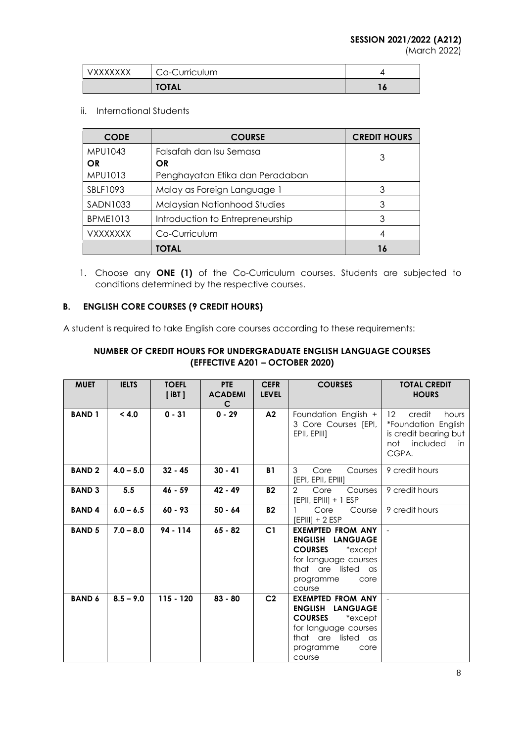|                 | <b>TOTAL</b>  | 1 O |
|-----------------|---------------|-----|
| <b>VXXXXXXX</b> | Co-Curriculum |     |

### ii. International Students

| <b>CODE</b>     | <b>COURSE</b>                       | <b>CREDIT HOURS</b> |
|-----------------|-------------------------------------|---------------------|
| <b>MPU1043</b>  | Falsafah dan Isu Semasa             | 3                   |
| OR              | OR                                  |                     |
| MPU1013         | Penghayatan Etika dan Peradaban     |                     |
| SBLF1093        | Malay as Foreign Language 1         | 3                   |
| SADN1033        | <b>Malaysian Nationhood Studies</b> | 3                   |
| <b>BPME1013</b> | Introduction to Entrepreneurship    | 3                   |
| VXXXXXXX        | Co-Curriculum                       | 4                   |
|                 | TOTAL                               | 16                  |

1. Choose any **ONE (1)** of the Co-Curriculum courses. Students are subjected to conditions determined by the respective courses.

# **B. ENGLISH CORE COURSES (9 CREDIT HOURS)**

A student is required to take English core courses according to these requirements:

## **NUMBER OF CREDIT HOURS FOR UNDERGRADUATE ENGLISH LANGUAGE COURSES (EFFECTIVE A201 – OCTOBER 2020)**

| <b>MUET</b>   | <b>IELTS</b> | <b>TOEFL</b><br>[iBT] | PTE<br><b>ACADEMI</b><br>C | <b>CEFR</b><br><b>LEVEL</b> | <b>COURSES</b>                                                                                                                                                        | <b>TOTAL CREDIT</b><br><b>HOURS</b>                                                                                     |
|---------------|--------------|-----------------------|----------------------------|-----------------------------|-----------------------------------------------------------------------------------------------------------------------------------------------------------------------|-------------------------------------------------------------------------------------------------------------------------|
| <b>BAND1</b>  | < 4.0        | $0 - 31$              | $0 - 29$                   | A2                          | Foundation English +<br>3 Core Courses [EPI,  <br>EPII, EPIII]                                                                                                        | $12 \overline{ }$<br>credit<br>hours<br>*Foundation English<br>is credit bearing but<br>included<br>not<br>in.<br>CGPA. |
| <b>BAND2</b>  | $4.0 - 5.0$  | $32 - 45$             | $30 - 41$                  | <b>B1</b>                   | 3<br>Core<br>Courses<br>[EPI, EPII, EPIII]                                                                                                                            | 9 credit hours                                                                                                          |
| <b>BAND 3</b> | 5.5          | $46 - 59$             | $42 - 49$                  | <b>B2</b>                   | $\overline{2}$<br>Core<br>Courses<br>$[EPII, EPIII] + 1 ESP$                                                                                                          | 9 credit hours                                                                                                          |
| <b>BAND4</b>  | $6.0 - 6.5$  | $60 - 93$             | $50 - 64$                  | <b>B2</b>                   | Core<br>Course<br>$[EPIII] + 2 ESP$                                                                                                                                   | 9 credit hours                                                                                                          |
| <b>BAND 5</b> | $7.0 - 8.0$  | $94 - 114$            | $65 - 82$                  | C <sub>1</sub>              | <b>EXEMPTED FROM ANY</b><br>ENGLISH LANGUAGE<br><b>COURSES</b><br>*except<br>for language courses<br>that are listed as<br>programme<br>core<br>course                |                                                                                                                         |
| <b>BAND 6</b> | $8.5 - 9.0$  | $115 - 120$           | $83 - 80$                  | C <sub>2</sub>              | <b>EXEMPTED FROM ANY</b><br><b>ENGLISH LANGUAGE</b><br><b>COURSES</b><br>$*$ except $\,$<br>for language courses<br>that are listed as<br>programme<br>core<br>course |                                                                                                                         |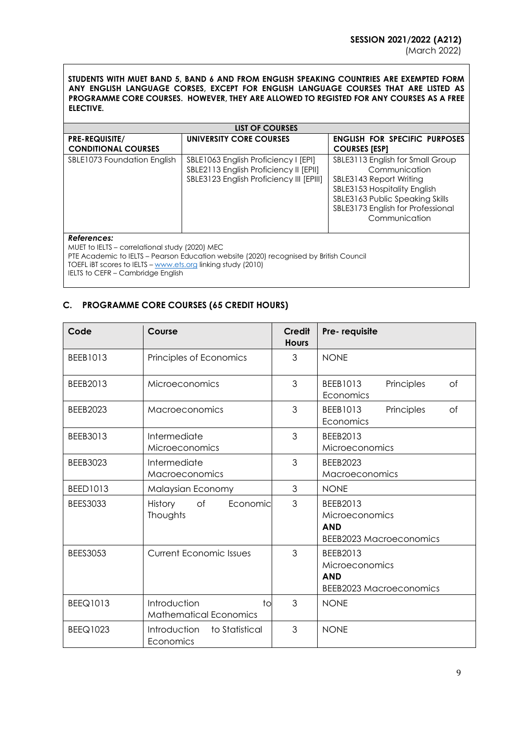**STUDENTS WITH MUET BAND 5, BAND 6 AND FROM ENGLISH SPEAKING COUNTRIES ARE EXEMPTED FORM ANY ENGLISH LANGUAGE CORSES, EXCEPT FOR ENGLISH LANGUAGE COURSES THAT ARE LISTED AS PROGRAMME CORE COURSES. HOWEVER, THEY ARE ALLOWED TO REGISTED FOR ANY COURSES AS A FREE ELECTIVE.**

| LIST OF COURSES                                                                                                                                                                                                                                              |                                                                                                                            |                                                                                                                                                                                                       |  |  |
|--------------------------------------------------------------------------------------------------------------------------------------------------------------------------------------------------------------------------------------------------------------|----------------------------------------------------------------------------------------------------------------------------|-------------------------------------------------------------------------------------------------------------------------------------------------------------------------------------------------------|--|--|
| <b>PRE-REQUISITE/</b><br><b>CONDITIONAL COURSES</b>                                                                                                                                                                                                          | UNIVERSITY CORE COURSES                                                                                                    | <b>ENGLISH FOR SPECIFIC PURPOSES</b><br><b>COURSES [ESP]</b>                                                                                                                                          |  |  |
| SBLE1073 Foundation English                                                                                                                                                                                                                                  | SBLE1063 English Proficiency I [EPI]<br>SBLE2113 English Proficiency II [EPII]<br>SBLE3123 English Proficiency III [EPIII] | SBLE3113 English for Small Group<br>Communication<br>SBLE3143 Report Writing<br>SBLE3153 Hospitality English<br>SBLE3163 Public Speaking Skills<br>SBLE3173 English for Professional<br>Communication |  |  |
| References:<br>MUET to IELTS - correlational study (2020) MEC<br>PTE Academic to IELTS - Pearson Education website (2020) recognised by British Council<br>TOEFL IBT scores to IELTS - www.ets.org linking study (2010)<br>IELTS to CEFR - Cambridge English |                                                                                                                            |                                                                                                                                                                                                       |  |  |

# **C. PROGRAMME CORE COURSES (65 CREDIT HOURS)**

| Code            | Course                                              | <b>Credit</b><br><b>Hours</b> | Pre-requisite                                                              |
|-----------------|-----------------------------------------------------|-------------------------------|----------------------------------------------------------------------------|
| BEEB1013        | Principles of Economics                             | 3                             | <b>NONE</b>                                                                |
| BEEB2013        | Microeconomics                                      | 3                             | Principles<br>BEEB1013<br><b>of</b><br>Economics                           |
| <b>BEEB2023</b> | Macroeconomics                                      | 3                             | BEEB1013<br>Principles<br>of<br>Economics                                  |
| BEEB3013        | Intermediate<br>Microeconomics                      | 3                             | BEEB2013<br>Microeconomics                                                 |
| <b>BEEB3023</b> | Intermediate<br>Macroeconomics                      | 3                             | <b>BEEB2023</b><br>Macroeconomics                                          |
| <b>BEED1013</b> | Malaysian Economy                                   | 3                             | <b>NONE</b>                                                                |
| <b>BEES3033</b> | History<br>of<br>Economic<br>Thoughts               | 3                             | BEEB2013<br>Microeconomics<br><b>AND</b><br><b>BEEB2023 Macroeconomics</b> |
| <b>BEES3053</b> | <b>Current Economic Issues</b>                      | 3                             | BEEB2013<br>Microeconomics<br><b>AND</b><br>BEEB2023 Macroeconomics        |
| <b>BEEQ1013</b> | Introduction<br>to<br><b>Mathematical Economics</b> | 3                             | <b>NONE</b>                                                                |
| <b>BEEQ1023</b> | Introduction<br>to Statistical<br>Economics         | 3                             | <b>NONE</b>                                                                |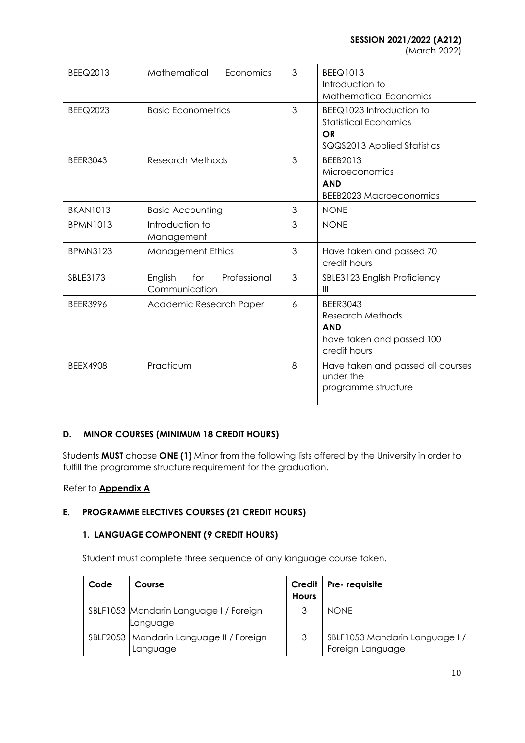**SESSION 2021/2022 (A212)**

(March 2022)

| BEEQ2013        | Mathematical<br>Economics                       | 3 | <b>BEEQ1013</b><br>Introduction to<br><b>Mathematical Economics</b>                                   |
|-----------------|-------------------------------------------------|---|-------------------------------------------------------------------------------------------------------|
| <b>BEEQ2023</b> | <b>Basic Econometrics</b>                       | 3 | BEEQ1023 Introduction to<br><b>Statistical Economics</b><br><b>OR</b><br>SQQS2013 Applied Statistics  |
| <b>BEER3043</b> | <b>Research Methods</b>                         | 3 | BEEB2013<br>Microeconomics<br><b>AND</b><br><b>BEEB2023 Macroeconomics</b>                            |
| <b>BKAN1013</b> | <b>Basic Accounting</b>                         | 3 | <b>NONE</b>                                                                                           |
| <b>BPMN1013</b> | Introduction to<br>Management                   | 3 | <b>NONE</b>                                                                                           |
| <b>BPMN3123</b> | <b>Management Ethics</b>                        | 3 | Have taken and passed 70<br>credit hours                                                              |
| SBLE3173        | English<br>for<br>Professional<br>Communication | 3 | SBLE3123 English Proficiency<br>$\mathbf{III}$                                                        |
| <b>BEER3996</b> | Academic Research Paper                         | 6 | <b>BEER3043</b><br><b>Research Methods</b><br><b>AND</b><br>have taken and passed 100<br>credit hours |
| <b>BEEX4908</b> | Practicum                                       | 8 | Have taken and passed all courses<br>under the<br>programme structure                                 |

# **D. MINOR COURSES (MINIMUM 18 CREDIT HOURS)**

Students **MUST** choose **ONE (1)** Minor from the following lists offered by the University in order to fulfill the programme structure requirement for the graduation.

Refer to **Appendix A**

# **E. PROGRAMME ELECTIVES COURSES (21 CREDIT HOURS)**

# **1. LANGUAGE COMPONENT (9 CREDIT HOURS)**

Student must complete three sequence of any language course taken.

| Code | Course                                                | Credit  <br><b>Hours</b> | Pre-requisite                                     |
|------|-------------------------------------------------------|--------------------------|---------------------------------------------------|
|      | SBLF1053 Mandarin Language I / Foreign<br>Language    | 3                        | <b>NONE</b>                                       |
|      | SBLF2053   Mandarin Language II / Foreign<br>Language | 3                        | SBLF1053 Mandarin Language I/<br>Foreign Language |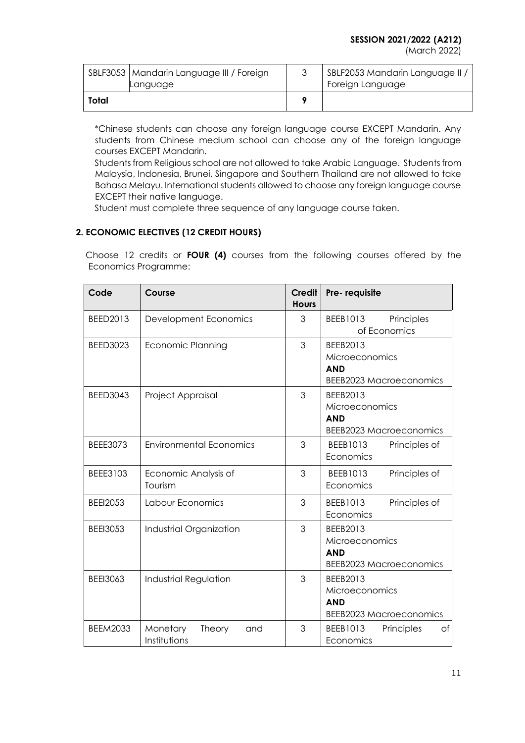(March 2022)

|       | SBLF3053   Mandarin Language III / Foreign<br>Language | SBLF2053 Mandarin Language II /<br>Foreign Language |
|-------|--------------------------------------------------------|-----------------------------------------------------|
| Total |                                                        |                                                     |

\*Chinese students can choose any foreign language course EXCEPT Mandarin. Any students from Chinese medium school can choose any of the foreign language courses EXCEPT Mandarin.

Students from Religious school are not allowed to take Arabic Language. Students from Malaysia, Indonesia, Brunei, Singapore and Southern Thailand are not allowed to take Bahasa Melayu. International students allowed to choose any foreign language course EXCEPT their native language.

Student must complete three sequence of any language course taken.

# **2. ECONOMIC ELECTIVES (12 CREDIT HOURS)**

 Choose 12 credits or **FOUR (4)** courses from the following courses offered by the Economics Programme:

| Code            | Course                                    | <b>Credit</b><br><b>Hours</b> | Pre-requisite                                                              |
|-----------------|-------------------------------------------|-------------------------------|----------------------------------------------------------------------------|
| BEED2013        | Development Economics                     | 3                             | Principles<br>BEEB1013<br>of Economics                                     |
| <b>BEED3023</b> | <b>Economic Planning</b>                  | 3                             | BEEB2013<br>Microeconomics<br><b>AND</b><br><b>BEEB2023 Macroeconomics</b> |
| <b>BEED3043</b> | Project Appraisal                         | 3                             | BEEB2013<br>Microeconomics<br><b>AND</b><br><b>BEEB2023 Macroeconomics</b> |
| <b>BEEE3073</b> | <b>Environmental Economics</b>            | 3                             | BEEB1013<br>Principles of<br>Economics                                     |
| BEEE3103        | Economic Analysis of<br>Tourism           | 3                             | BEEB1013<br>Principles of<br>Economics                                     |
| <b>BEEI2053</b> | Labour Economics                          | 3                             | <b>BEEB1013</b><br>Principles of<br>Economics                              |
| <b>BEEI3053</b> | Industrial Organization                   | 3                             | BEEB2013<br>Microeconomics<br><b>AND</b><br><b>BEEB2023 Macroeconomics</b> |
| <b>BEEI3063</b> | Industrial Regulation                     | 3                             | BEEB2013<br>Microeconomics<br><b>AND</b><br><b>BEEB2023 Macroeconomics</b> |
| <b>BEEM2033</b> | Monetary<br>Theory<br>and<br>Institutions | 3                             | Principles<br>BEEB1013<br>of<br>Economics                                  |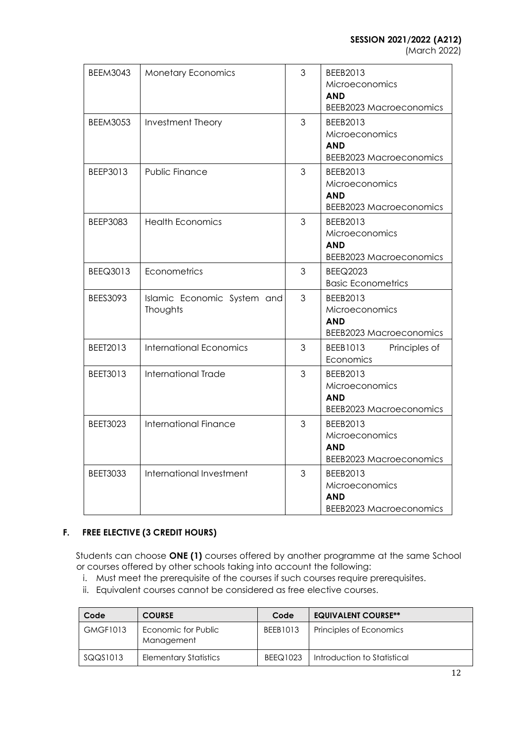(March 2022)

| <b>BEEM3043</b> | <b>Monetary Economics</b>               | 3 | BEEB2013<br>Microeconomics<br><b>AND</b><br><b>BEEB2023 Macroeconomics</b> |
|-----------------|-----------------------------------------|---|----------------------------------------------------------------------------|
| <b>BEEM3053</b> | Investment Theory                       | 3 | BEEB2013<br>Microeconomics<br><b>AND</b><br><b>BEEB2023 Macroeconomics</b> |
| BEEP3013        | Public Finance                          | 3 | BEEB2013<br>Microeconomics<br><b>AND</b><br><b>BEEB2023 Macroeconomics</b> |
| <b>BEEP3083</b> | <b>Health Economics</b>                 | 3 | BEEB2013<br>Microeconomics<br><b>AND</b><br><b>BEEB2023 Macroeconomics</b> |
| <b>BEEQ3013</b> | Econometrics                            | 3 | <b>BEEQ2023</b><br><b>Basic Econometrics</b>                               |
| BEES3093        | Islamic Economic System and<br>Thoughts | 3 | BEEB2013<br>Microeconomics<br><b>AND</b><br><b>BEEB2023 Macroeconomics</b> |
| BEET2013        | <b>International Economics</b>          | 3 | BEEB1013<br>Principles of<br>Economics                                     |
| BEET3013        | International Trade                     | 3 | BEEB2013<br>Microeconomics<br><b>AND</b><br><b>BEEB2023 Macroeconomics</b> |
| <b>BEET3023</b> | <b>International Finance</b>            | 3 | BEEB2013<br>Microeconomics<br><b>AND</b><br><b>BEEB2023 Macroeconomics</b> |
| <b>BEET3033</b> | International Investment                | 3 | BEEB2013<br>Microeconomics<br><b>AND</b><br><b>BEEB2023 Macroeconomics</b> |

# **F. FREE ELECTIVE (3 CREDIT HOURS)**

Students can choose **ONE (1)** courses offered by another programme at the same School or courses offered by other schools taking into account the following:

- i. Must meet the prerequisite of the courses if such courses require prerequisites.
- ii. Equivalent courses cannot be considered as free elective courses.

| Code            | <b>COURSE</b>                     | Code            | <b>EQUIVALENT COURSE**</b>  |
|-----------------|-----------------------------------|-----------------|-----------------------------|
| <b>GMGF1013</b> | Economic for Public<br>Management | <b>BEEB1013</b> | Principles of Economics     |
| SQQS1013        | <b>Elementary Statistics</b>      | <b>BEEQ1023</b> | Introduction to Statistical |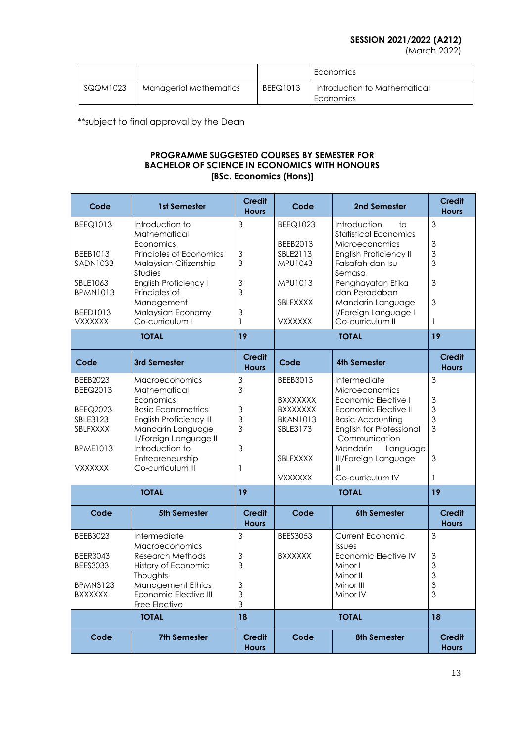# **SESSION 2021/2022 (A212)**

(March 2022)

|          |                        |                 | Economics                                 |
|----------|------------------------|-----------------|-------------------------------------------|
| SQQM1023 | Managerial Mathematics | <b>BEEQ1013</b> | Introduction to Mathematical<br>Economics |

\*\*subject to final approval by the Dean

## **PROGRAMME SUGGESTED COURSES BY SEMESTER FOR BACHELOR OF SCIENCE IN ECONOMICS WITH HONOURS [BSc. Economics (Hons)]**

| Code                                                                                                               | <b>1st Semester</b>                                                                                                                                                                                                          | <b>Credit</b><br><b>Hours</b>   | Code                                                                                                        | 2nd Semester                                                                                                                                                                                                                                        | <b>Credit</b><br><b>Hours</b>          |
|--------------------------------------------------------------------------------------------------------------------|------------------------------------------------------------------------------------------------------------------------------------------------------------------------------------------------------------------------------|---------------------------------|-------------------------------------------------------------------------------------------------------------|-----------------------------------------------------------------------------------------------------------------------------------------------------------------------------------------------------------------------------------------------------|----------------------------------------|
| <b>BEEQ1013</b><br>BEEB1013<br>SADN1033<br>SBLE1063<br><b>BPMN1013</b><br>BEED1013<br><b>VXXXXXX</b>               | Introduction to<br>Mathematical<br>Economics<br>Principles of Economics<br>Malaysian Citizenship<br><b>Studies</b><br><b>English Proficiency I</b><br>Principles of<br>Management<br>Malaysian Economy<br>Co-curriculum I    | 3<br>3<br>3<br>3<br>3<br>3<br>1 | <b>BEEQ1023</b><br>BEEB2013<br>SBLE2113<br>MPU1043<br>MPU1013<br><b>SBLFXXXX</b><br><b>VXXXXXX</b>          | Introduction<br>tο<br><b>Statistical Economics</b><br><b>Microeconomics</b><br>English Proficiency II<br>Falsafah dan Isu<br>Semasa<br>Penghayatan Etika<br>dan Peradaban<br>Mandarin Language<br>I/Foreign Language I<br>Co-curriculum II          | 3<br>3<br>3<br>3<br>3<br>3<br>1        |
|                                                                                                                    | <b>TOTAL</b>                                                                                                                                                                                                                 | 19                              |                                                                                                             | <b>TOTAL</b>                                                                                                                                                                                                                                        | 19                                     |
| Code                                                                                                               | 3rd Semester                                                                                                                                                                                                                 | <b>Credit</b><br><b>Hours</b>   | Code                                                                                                        | <b>4th Semester</b>                                                                                                                                                                                                                                 | <b>Credit</b><br><b>Hours</b>          |
| <b>BEEB2023</b><br><b>BEEQ2013</b><br><b>BEEQ2023</b><br>SBLE3123<br>SBLFXXXX<br><b>BPME1013</b><br><b>VXXXXXX</b> | <b>Macroeconomics</b><br>Mathematical<br>Economics<br><b>Basic Econometrics</b><br><b>English Proficiency III</b><br>Mandarin Language<br>II/Foreign Language II<br>Introduction to<br>Entrepreneurship<br>Co-curriculum III | 3<br>3<br>3<br>3<br>3<br>3<br>1 | BEEB3013<br><b>BXXXXXXX</b><br><b>BXXXXXXX</b><br><b>BKAN1013</b><br>SBLE3173<br>SBLFXXXX<br><b>VXXXXXX</b> | Intermediate<br><b>Microeconomics</b><br>Economic Elective I<br>Economic Elective II<br><b>Basic Accounting</b><br>English for Professional<br>Communication<br><b>Mandarin</b><br>Language<br><b>III/Foreign Language</b><br>Ш<br>Co-curriculum IV | 3<br>3<br>3<br>3<br>3<br>3<br>1        |
| <b>TOTAL</b>                                                                                                       |                                                                                                                                                                                                                              | 19                              | <b>TOTAL</b>                                                                                                |                                                                                                                                                                                                                                                     | 19                                     |
| Code                                                                                                               | <b>5th Semester</b>                                                                                                                                                                                                          | <b>Credit</b><br><b>Hours</b>   | Code                                                                                                        | 6th Semester                                                                                                                                                                                                                                        | <b>Credit</b><br><b>Hours</b>          |
| BEEB3023<br><b>BEER3043</b><br><b>BEES3033</b><br><b>BPMN3123</b><br><b>BXXXXXX</b>                                | Intermediate<br><b>Macroeconomics</b><br><b>Research Methods</b><br>History of Economic<br>Thoughts<br><b>Management Ethics</b><br>Economic Elective III<br>Free Elective                                                    | 3<br>3<br>3<br>3<br>3<br>3      | <b>BEES3053</b><br><b>BXXXXXX</b>                                                                           | Current Economic<br>Issues<br>Economic Elective IV<br>Minor I<br>Minor II<br>Minor III<br>Minor IV                                                                                                                                                  | 3<br>$\mathfrak 3$<br>3<br>3<br>3<br>3 |
|                                                                                                                    | <b>TOTAL</b>                                                                                                                                                                                                                 | 18                              | <b>TOTAL</b>                                                                                                |                                                                                                                                                                                                                                                     | 18                                     |
| Code                                                                                                               | <b>7th Semester</b>                                                                                                                                                                                                          | <b>Credit</b><br><b>Hours</b>   | Code                                                                                                        | <b>8th Semester</b>                                                                                                                                                                                                                                 | <b>Credit</b><br><b>Hours</b>          |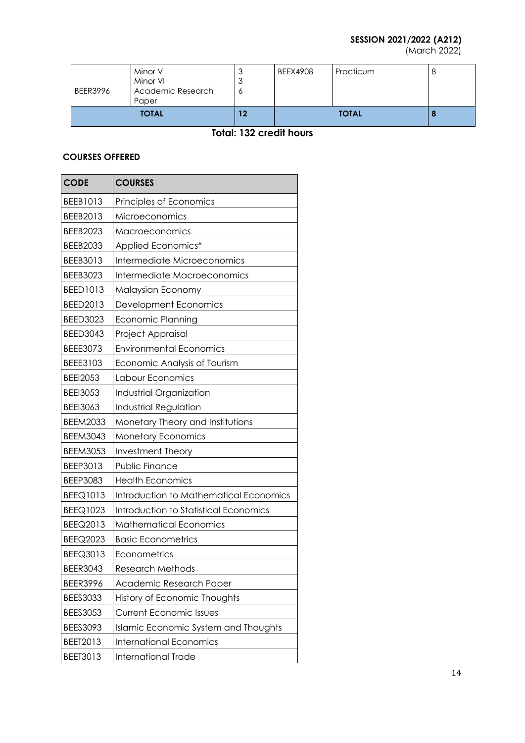# **SESSION 2021/2022 (A212)**

(March 2022)

| <b>BEER3996</b> | Minor V<br>Minor VI<br>Academic Research<br>Paper | $\overline{\phantom{a}}$<br>$\overline{\phantom{a}}$<br>O | <b>BEEX4908</b> | Practicum |  |
|-----------------|---------------------------------------------------|-----------------------------------------------------------|-----------------|-----------|--|
| <b>TOTAL</b>    |                                                   | 12                                                        | <b>TOTAL</b>    |           |  |

# **Total: 132 credit hours**

# **COURSES OFFERED**

| <b>CODE</b>     | <b>COURSES</b>                         |
|-----------------|----------------------------------------|
| BEEB1013        | Principles of Economics                |
| BEEB2013        | Microeconomics                         |
| <b>BEEB2023</b> | Macroeconomics                         |
| <b>BEEB2033</b> | Applied Economics*                     |
| BEEB3013        | Intermediate Microeconomics            |
| BEEB3023        | Intermediate Macroeconomics            |
| <b>BEED1013</b> | Malaysian Economy                      |
| BEED2013        | Development Economics                  |
| <b>BEED3023</b> | Economic Planning                      |
| <b>BEED3043</b> | Project Appraisal                      |
| <b>BEEE3073</b> | <b>Environmental Economics</b>         |
| BEEE3103        | Economic Analysis of Tourism           |
| <b>BEEI2053</b> | Labour Economics                       |
| <b>BEEI3053</b> | Industrial Organization                |
| <b>BEEI3063</b> | <b>Industrial Regulation</b>           |
| <b>BEEM2033</b> | Monetary Theory and Institutions       |
| <b>BEEM3043</b> | <b>Monetary Economics</b>              |
| <b>BEEM3053</b> | Investment Theory                      |
| BEEP3013        | Public Finance                         |
| <b>BEEP3083</b> | <b>Health Economics</b>                |
| <b>BEEQ1013</b> | Introduction to Mathematical Economics |
| <b>BEEQ1023</b> | Introduction to Statistical Economics  |
| BEEQ2013        | <b>Mathematical Economics</b>          |
| <b>BEEQ2023</b> | <b>Basic Econometrics</b>              |
| BEEQ3013        | Econometrics                           |
| <b>BEER3043</b> | <b>Research Methods</b>                |
| <b>BEER3996</b> | Academic Research Paper                |
| <b>BEES3033</b> | History of Economic Thoughts           |
| <b>BEES3053</b> | <b>Current Economic Issues</b>         |
| BEES3093        | Islamic Economic System and Thoughts   |
| BEET2013        | <b>International Economics</b>         |
| BEET3013        | International Trade                    |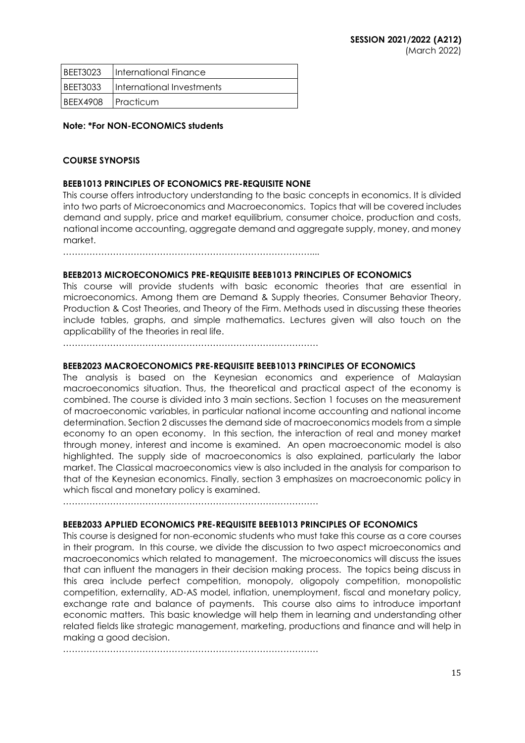| BEET3023             | International Finance     |
|----------------------|---------------------------|
| I BEET3033           | International Investments |
| IBEEX4908 IPracticum |                           |

### **Note: \*For NON-ECONOMICS students**

## **COURSE SYNOPSIS**

## **BEEB1013 PRINCIPLES OF ECONOMICS PRE-REQUISITE NONE**

This course offers introductory understanding to the basic concepts in economics. It is divided into two parts of Microeconomics and Macroeconomics. Topics that will be covered includes demand and supply, price and market equilibrium, consumer choice, production and costs, national income accounting, aggregate demand and aggregate supply, money, and money market.

…………………………………………………………………………....

#### **BEEB2013 MICROECONOMICS PRE-REQUISITE BEEB1013 PRINCIPLES OF ECONOMICS**

This course will provide students with basic economic theories that are essential in microeconomics. Among them are Demand & Supply theories, Consumer Behavior Theory, Production & Cost Theories, and Theory of the Firm. Methods used in discussing these theories include tables, graphs, and simple mathematics. Lectures given will also touch on the applicability of the theories in real life.

……………………………………………………………………………

#### **BEEB2023 MACROECONOMICS PRE-REQUISITE BEEB1013 PRINCIPLES OF ECONOMICS**

The analysis is based on the Keynesian economics and experience of Malaysian macroeconomics situation. Thus, the theoretical and practical aspect of the economy is combined. The course is divided into 3 main sections. Section 1 focuses on the measurement of macroeconomic variables, in particular national income accounting and national income determination. Section 2 discusses the demand side of macroeconomics models from a simple economy to an open economy. In this section, the interaction of real and money market through money, interest and income is examined. An open macroeconomic model is also highlighted. The supply side of macroeconomics is also explained, particularly the labor market. The Classical macroeconomics view is also included in the analysis for comparison to that of the Keynesian economics. Finally, section 3 emphasizes on macroeconomic policy in which fiscal and monetary policy is examined.

……………………………………………………………………………

#### **BEEB2033 APPLIED ECONOMICS PRE-REQUISITE BEEB1013 PRINCIPLES OF ECONOMICS**

This course is designed for non-economic students who must take this course as a core courses in their program. In this course, we divide the discussion to two aspect microeconomics and macroeconomics which related to management. The microeconomics will discuss the issues that can influent the managers in their decision making process. The topics being discuss in this area include perfect competition, monopoly, oligopoly competition, monopolistic competition, externality, AD-AS model, inflation, unemployment, fiscal and monetary policy, exchange rate and balance of payments. This course also aims to introduce important economic matters. This basic knowledge will help them in learning and understanding other related fields like strategic management, marketing, productions and finance and will help in making a good decision.

……………………………………………………………………………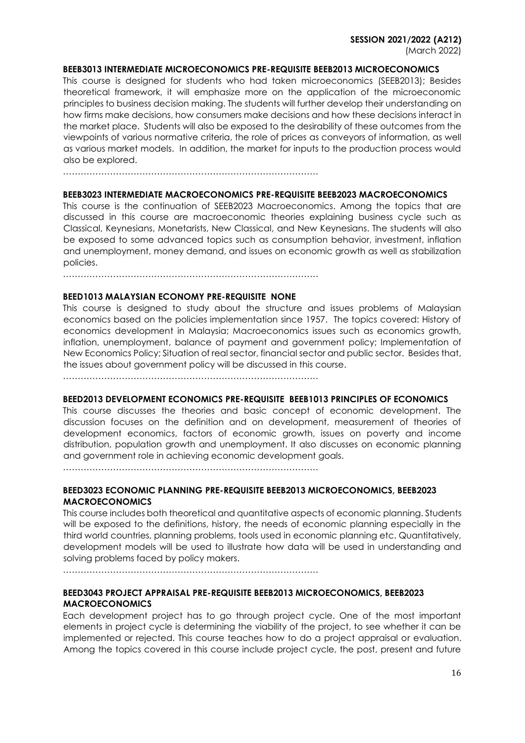#### **BEEB3013 INTERMEDIATE MICROECONOMICS PRE-REQUISITE BEEB2013 MICROECONOMICS**

This course is designed for students who had taken microeconomics (SEEB2013); Besides theoretical framework, it will emphasize more on the application of the microeconomic principles to business decision making. The students will further develop their understanding on how firms make decisions, how consumers make decisions and how these decisions interact in the market place. Students will also be exposed to the desirability of these outcomes from the viewpoints of various normative criteria, the role of prices as conveyors of information, as well as various market models. In addition, the market for inputs to the production process would also be explored.

……………………………………………………………………………

#### **BEEB3023 INTERMEDIATE MACROECONOMICS PRE-REQUISITE BEEB2023 MACROECONOMICS**

This course is the continuation of SEEB2023 Macroeconomics. Among the topics that are discussed in this course are macroeconomic theories explaining business cycle such as Classical, Keynesians, Monetarists, New Classical, and New Keynesians. The students will also be exposed to some advanced topics such as consumption behavior, investment, inflation and unemployment, money demand, and issues on economic growth as well as stabilization policies.

……………………………………………………………………………

#### **BEED1013 MALAYSIAN ECONOMY PRE-REQUISITE NONE**

This course is designed to study about the structure and issues problems of Malaysian economics based on the policies implementation since 1957. The topics covered: History of economics development in Malaysia; Macroeconomics issues such as economics growth, inflation, unemployment, balance of payment and government policy; Implementation of New Economics Policy; Situation of real sector, financial sector and public sector. Besides that, the issues about government policy will be discussed in this course.

……………………………………………………………………………

#### **BEED2013 DEVELOPMENT ECONOMICS PRE-REQUISITE BEEB1013 PRINCIPLES OF ECONOMICS**

This course discusses the theories and basic concept of economic development. The discussion focuses on the definition and on development, measurement of theories of development economics, factors of economic growth, issues on poverty and income distribution, population growth and unemployment. It also discusses on economic planning and government role in achieving economic development goals.

……………………………………………………………………………

#### **BEED3023 ECONOMIC PLANNING PRE-REQUISITE BEEB2013 MICROECONOMICS, BEEB2023 MACROECONOMICS**

This course includes both theoretical and quantitative aspects of economic planning. Students will be exposed to the definitions, history, the needs of economic planning especially in the third world countries, planning problems, tools used in economic planning etc. Quantitatively, development models will be used to illustrate how data will be used in understanding and solving problems faced by policy makers.

……………………………………………………………………………

## **BEED3043 PROJECT APPRAISAL PRE-REQUISITE BEEB2013 MICROECONOMICS, BEEB2023 MACROECONOMICS**

Each development project has to go through project cycle. One of the most important elements in project cycle is determining the viability of the project, to see whether it can be implemented or rejected. This course teaches how to do a project appraisal or evaluation. Among the topics covered in this course include project cycle, the post, present and future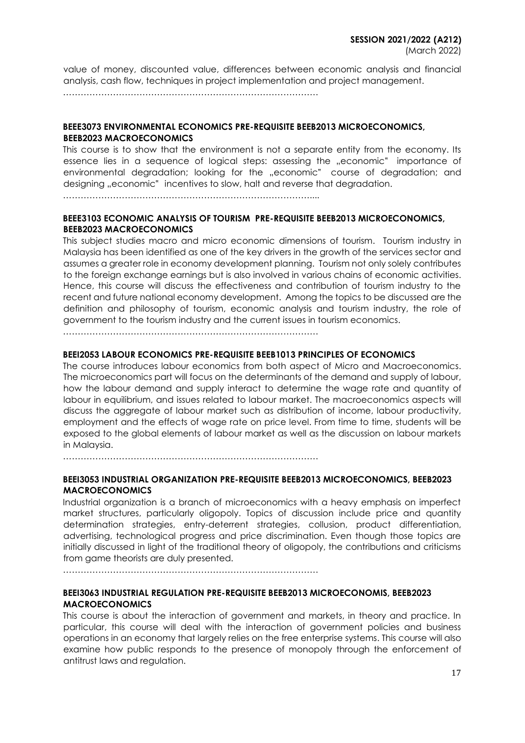value of money, discounted value, differences between economic analysis and financial analysis, cash flow, techniques in project implementation and project management.

……………………………………………………………………………

### **BEEE3073 ENVIRONMENTAL ECONOMICS PRE-REQUISITE BEEB2013 MICROECONOMICS, BEEB2023 MACROECONOMICS**

This course is to show that the environment is not a separate entity from the economy. Its essence lies in a sequence of logical steps: assessing the "economic" importance of environmental degradation; looking for the "economic" course of degradation; and designing "economic" incentives to slow, halt and reverse that degradation.

…………………………………………………………………………....

#### **BEEE3103 ECONOMIC ANALYSIS OF TOURISM PRE-REQUISITE BEEB2013 MICROECONOMICS, BEEB2023 MACROECONOMICS**

This subject studies macro and micro economic dimensions of tourism. Tourism industry in Malaysia has been identified as one of the key drivers in the growth of the services sector and assumes a greater role in economy development planning. Tourism not only solely contributes to the foreign exchange earnings but is also involved in various chains of economic activities. Hence, this course will discuss the effectiveness and contribution of tourism industry to the recent and future national economy development. Among the topics to be discussed are the definition and philosophy of tourism, economic analysis and tourism industry, the role of government to the tourism industry and the current issues in tourism economics.

……………………………………………………………………………

#### **BEEI2053 LABOUR ECONOMICS PRE-REQUISITE BEEB1013 PRINCIPLES OF ECONOMICS**

The course introduces labour economics from both aspect of Micro and Macroeconomics. The microeconomics part will focus on the determinants of the demand and supply of labour, how the labour demand and supply interact to determine the wage rate and quantity of labour in equilibrium, and issues related to labour market. The macroeconomics aspects will discuss the aggregate of labour market such as distribution of income, labour productivity, employment and the effects of wage rate on price level. From time to time, students will be exposed to the global elements of labour market as well as the discussion on labour markets in Malaysia.

……………………………………………………………………………

### **BEEI3053 INDUSTRIAL ORGANIZATION PRE-REQUISITE BEEB2013 MICROECONOMICS, BEEB2023 MACROECONOMICS**

Industrial organization is a branch of microeconomics with a heavy emphasis on imperfect market structures, particularly oligopoly. Topics of discussion include price and quantity determination strategies, entry-deterrent strategies, collusion, product differentiation, advertising, technological progress and price discrimination. Even though those topics are initially discussed in light of the traditional theory of oligopoly, the contributions and criticisms from game theorists are duly presented.

……………………………………………………………………………

#### **BEEI3063 INDUSTRIAL REGULATION PRE-REQUISITE BEEB2013 MICROECONOMIS, BEEB2023 MACROECONOMICS**

This course is about the interaction of government and markets, in theory and practice. In particular, this course will deal with the interaction of government policies and business operations in an economy that largely relies on the free enterprise systems. This course will also examine how public responds to the presence of monopoly through the enforcement of antitrust laws and regulation.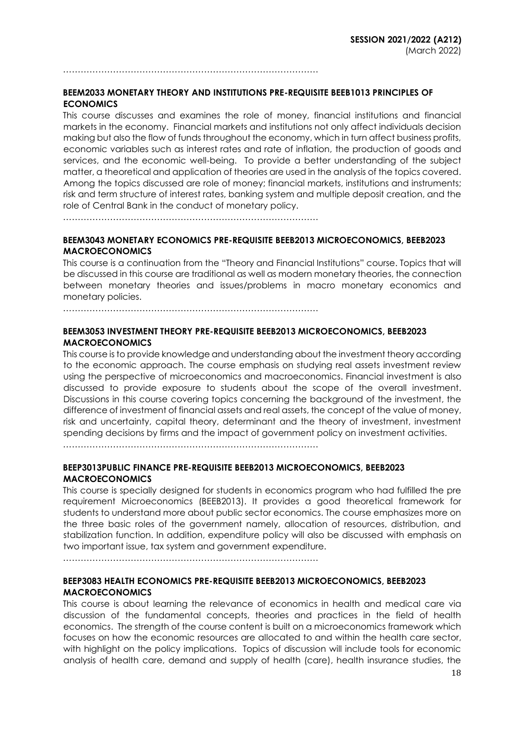……………………………………………………………………………

## **BEEM2033 MONETARY THEORY AND INSTITUTIONS PRE-REQUISITE BEEB1013 PRINCIPLES OF ECONOMICS**

This course discusses and examines the role of money, financial institutions and financial markets in the economy. Financial markets and institutions not only affect individuals decision making but also the flow of funds throughout the economy, which in turn affect business profits, economic variables such as interest rates and rate of inflation, the production of goods and services, and the economic well-being. To provide a better understanding of the subject matter, a theoretical and application of theories are used in the analysis of the topics covered. Among the topics discussed are role of money; financial markets, institutions and instruments; risk and term structure of interest rates, banking system and multiple deposit creation, and the role of Central Bank in the conduct of monetary policy.

……………………………………………………………………………

## **BEEM3043 MONETARY ECONOMICS PRE-REQUISITE BEEB2013 MICROECONOMICS, BEEB2023 MACROECONOMICS**

This course is a continuation from the "Theory and Financial Institutions" course. Topics that will be discussed in this course are traditional as well as modern monetary theories, the connection between monetary theories and issues/problems in macro monetary economics and monetary policies.

……………………………………………………………………………

## **BEEM3053 INVESTMENT THEORY PRE-REQUISITE BEEB2013 MICROECONOMICS, BEEB2023 MACROECONOMICS**

This course is to provide knowledge and understanding about the investment theory according to the economic approach. The course emphasis on studying real assets investment review using the perspective of microeconomics and macroeconomics. Financial investment is also discussed to provide exposure to students about the scope of the overall investment. Discussions in this course covering topics concerning the background of the investment, the difference of investment of financial assets and real assets, the concept of the value of money, risk and uncertainty, capital theory, determinant and the theory of investment, investment spending decisions by firms and the impact of government policy on investment activities.

……………………………………………………………………………

## **BEEP3013PUBLIC FINANCE PRE-REQUISITE BEEB2013 MICROECONOMICS, BEEB2023 MACROECONOMICS**

This course is specially designed for students in economics program who had fulfilled the pre requirement Microeconomics (BEEB2013). It provides a good theoretical framework for students to understand more about public sector economics. The course emphasizes more on the three basic roles of the government namely, allocation of resources, distribution, and stabilization function. In addition, expenditure policy will also be discussed with emphasis on two important issue, tax system and government expenditure.

……………………………………………………………………………

## **BEEP3083 HEALTH ECONOMICS PRE-REQUISITE BEEB2013 MICROECONOMICS, BEEB2023 MACROECONOMICS**

This course is about learning the relevance of economics in health and medical care via discussion of the fundamental concepts, theories and practices in the field of health economics. The strength of the course content is built on a microeconomics framework which focuses on how the economic resources are allocated to and within the health care sector, with highlight on the policy implications. Topics of discussion will include tools for economic analysis of health care, demand and supply of health (care), health insurance studies, the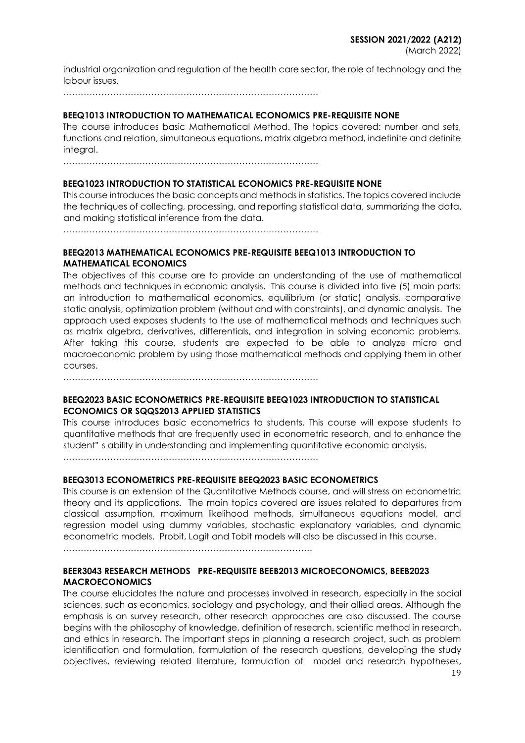industrial organization and regulation of the health care sector, the role of technology and the labour issues.

……………………………………………………………………………

### **BEEQ1013 INTRODUCTION TO MATHEMATICAL ECONOMICS PRE-REQUISITE NONE**

The course introduces basic Mathematical Method. The topics covered: number and sets, functions and relation, simultaneous equations, matrix algebra method, indefinite and definite integral.

……………………………………………………………………………

#### **BEEQ1023 INTRODUCTION TO STATISTICAL ECONOMICS PRE-REQUISITE NONE**

This course introduces the basic concepts and methods in statistics. The topics covered include the techniques of collecting, processing, and reporting statistical data, summarizing the data, and making statistical inference from the data.

……………………………………………………………………………

### **BEEQ2013 MATHEMATICAL ECONOMICS PRE-REQUISITE BEEQ1013 INTRODUCTION TO MATHEMATICAL ECONOMICS**

The objectives of this course are to provide an understanding of the use of mathematical methods and techniques in economic analysis. This course is divided into five (5) main parts: an introduction to mathematical economics, equilibrium (or static) analysis, comparative static analysis, optimization problem (without and with constraints), and dynamic analysis. The approach used exposes students to the use of mathematical methods and techniques such as matrix algebra, derivatives, differentials, and integration in solving economic problems. After taking this course, students are expected to be able to analyze micro and macroeconomic problem by using those mathematical methods and applying them in other courses.

……………………………………………………………………………

## **BEEQ2023 BASIC ECONOMETRICS PRE-REQUISITE BEEQ1023 INTRODUCTION TO STATISTICAL ECONOMICS OR SQQS2013 APPLIED STATISTICS**

This course introduces basic econometrics to students. This course will expose students to quantitative methods that are frequently used in econometric research, and to enhance the student" s ability in understanding and implementing quantitative economic analysis.

……………………………………………………………………………

#### **BEEQ3013 ECONOMETRICS PRE-REQUISITE BEEQ2023 BASIC ECONOMETRICS**

This course is an extension of the Quantitative Methods course, and will stress on econometric theory and its applications. The main topics covered are issues related to departures from classical assumption, maximum likelihood methods, simultaneous equations model, and regression model using dummy variables, stochastic explanatory variables, and dynamic econometric models. Probit, Logit and Tobit models will also be discussed in this course.

………………………………………………………………………….

#### **BEER3043 RESEARCH METHODS PRE-REQUISITE BEEB2013 MICROECONOMICS, BEEB2023 MACROECONOMICS**

The course elucidates the nature and processes involved in research, especially in the social sciences, such as economics, sociology and psychology, and their allied areas. Although the emphasis is on survey research, other research approaches are also discussed. The course begins with the philosophy of knowledge, definition of research, scientific method in research, and ethics in research. The important steps in planning a research project, such as problem identification and formulation, formulation of the research questions, developing the study objectives, reviewing related literature, formulation of model and research hypotheses,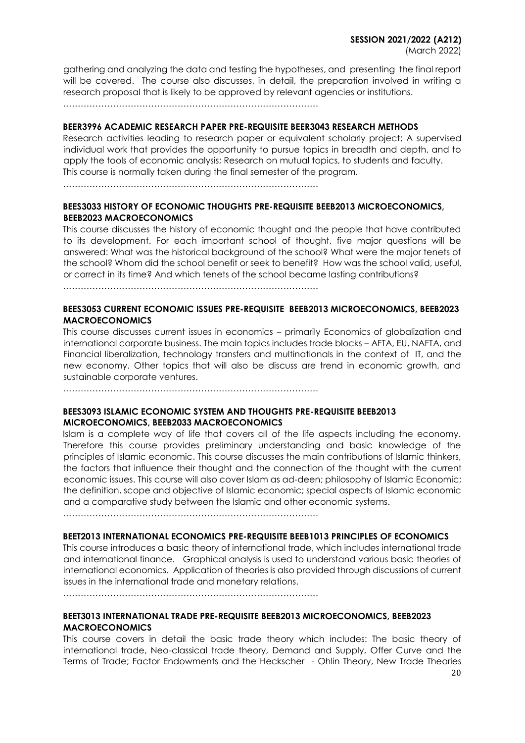gathering and analyzing the data and testing the hypotheses, and presenting the final report will be covered. The course also discusses, in detail, the preparation involved in writing a research proposal that is likely to be approved by relevant agencies or institutions.

……………………………………………………………………………

## **BEER3996 ACADEMIC RESEARCH PAPER PRE-REQUISITE BEER3043 RESEARCH METHODS**

Research activities leading to research paper or equivalent scholarly project; A supervised individual work that provides the opportunity to pursue topics in breadth and depth, and to apply the tools of economic analysis; Research on mutual topics, to students and faculty. This course is normally taken during the final semester of the program.

……………………………………………………………………………

# **BEES3033 HISTORY OF ECONOMIC THOUGHTS PRE-REQUISITE BEEB2013 MICROECONOMICS, BEEB2023 MACROECONOMICS**

This course discusses the history of economic thought and the people that have contributed to its development. For each important school of thought, five major questions will be answered: What was the historical background of the school? What were the major tenets of the school? Whom did the school benefit or seek to benefit? How was the school valid, useful, or correct in its time? And which tenets of the school became lasting contributions?

……………………………………………………………………………

# **BEES3053 CURRENT ECONOMIC ISSUES PRE-REQUISITE BEEB2013 MICROECONOMICS, BEEB2023 MACROECONOMICS**

This course discusses current issues in economics – primarily Economics of globalization and international corporate business. The main topics includes trade blocks – AFTA, EU, NAFTA, and Financial liberalization, technology transfers and multinationals in the context of IT, and the new economy. Other topics that will also be discuss are trend in economic growth, and sustainable corporate ventures.

……………………………………………………………………………

## **BEES3093 ISLAMIC ECONOMIC SYSTEM AND THOUGHTS PRE-REQUISITE BEEB2013 MICROECONOMICS, BEEB2033 MACROECONOMICS**

Islam is a complete way of life that covers all of the life aspects including the economy. Therefore this course provides preliminary understanding and basic knowledge of the principles of Islamic economic. This course discusses the main contributions of Islamic thinkers, the factors that influence their thought and the connection of the thought with the current economic issues. This course will also cover Islam as ad-deen; philosophy of Islamic Economic; the definition, scope and objective of Islamic economic; special aspects of Islamic economic and a comparative study between the Islamic and other economic systems.

……………………………………………………………………………

# **BEET2013 INTERNATIONAL ECONOMICS PRE-REQUISITE BEEB1013 PRINCIPLES OF ECONOMICS**

This course introduces a basic theory of international trade, which includes international trade and international finance. Graphical analysis is used to understand various basic theories of international economics. Application of theories is also provided through discussions of current issues in the international trade and monetary relations.

……………………………………………………………………………

# **BEET3013 INTERNATIONAL TRADE PRE-REQUISITE BEEB2013 MICROECONOMICS, BEEB2023 MACROECONOMICS**

This course covers in detail the basic trade theory which includes: The basic theory of international trade, Neo-classical trade theory, Demand and Supply, Offer Curve and the Terms of Trade; Factor Endowments and the Heckscher - Ohlin Theory, New Trade Theories